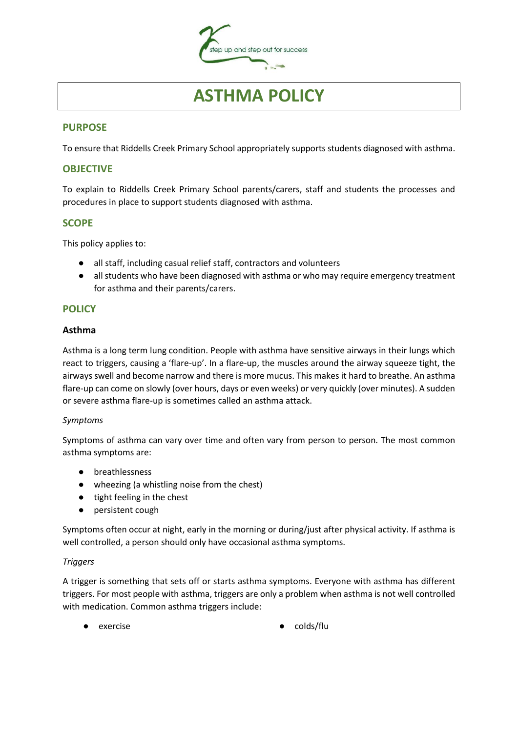

# **ASTHMA POLICY**

## **PURPOSE**

To ensure that Riddells Creek Primary School appropriately supports students diagnosed with asthma.

## **OBJECTIVE**

To explain to Riddells Creek Primary School parents/carers, staff and students the processes and procedures in place to support students diagnosed with asthma.

## **SCOPE**

This policy applies to:

- all staff, including casual relief staff, contractors and volunteers
- all students who have been diagnosed with asthma or who may require emergency treatment for asthma and their parents/carers.

## **POLICY**

#### **Asthma**

Asthma is a long term lung condition. People with asthma have sensitive airways in their lungs which react to triggers, causing a 'flare-up'. In a flare-up, the muscles around the airway squeeze tight, the airways swell and become narrow and there is more mucus. This makes it hard to breathe. An asthma flare-up can come on slowly (over hours, days or even weeks) or very quickly (over minutes). A sudden or severe asthma flare-up is sometimes called an asthma attack.

#### *Symptoms*

Symptoms of asthma can vary over time and often vary from person to person. The most common asthma symptoms are:

- breathlessness
- wheezing (a whistling noise from the chest)
- tight feeling in the chest
- persistent cough

Symptoms often occur at night, early in the morning or during/just after physical activity. If asthma is well controlled, a person should only have occasional asthma symptoms.

#### *Triggers*

A trigger is something that sets off or starts asthma symptoms. Everyone with asthma has different triggers. For most people with asthma, triggers are only a problem when asthma is not well controlled with medication. Common asthma triggers include:

- 
- exercise **by a colds/flu**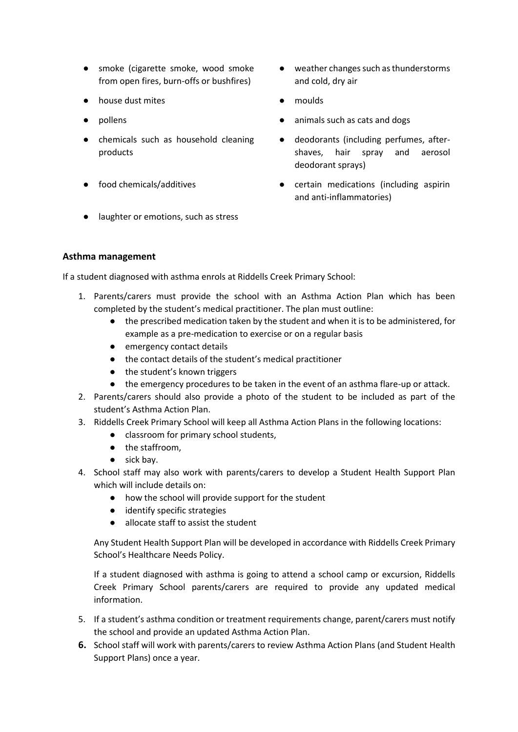- smoke (cigarette smoke, wood smoke from open fires, burn-offs or bushfires)
- house dust mites moulds
- 
- chemicals such as household cleaning products
- 
- weather changes such as thunderstorms and cold, dry air
- 
- pollens animals such as cats and dogs
	- deodorants (including perfumes, aftershaves, hair spray and aerosol deodorant sprays)
- food chemicals/additives certain medications (including aspirin and anti-inflammatories)
- laughter or emotions, such as stress

## **Asthma management**

If a student diagnosed with asthma enrols at Riddells Creek Primary School:

- 1. Parents/carers must provide the school with an Asthma Action Plan which has been completed by the student's medical practitioner. The plan must outline:
	- the prescribed medication taken by the student and when it is to be administered, for example as a pre-medication to exercise or on a regular basis
	- emergency contact details
	- the contact details of the student's medical practitioner
	- the student's known triggers
	- the emergency procedures to be taken in the event of an asthma flare-up or attack.
- 2. Parents/carers should also provide a photo of the student to be included as part of the student's Asthma Action Plan.
- 3. Riddells Creek Primary School will keep all Asthma Action Plans in the following locations:
	- classroom for primary school students,
	- the staffroom,
	- sick bay.
- 4. School staff may also work with parents/carers to develop a Student Health Support Plan which will include details on:
	- how the school will provide support for the student
	- identify specific strategies
	- allocate staff to assist the student

Any Student Health Support Plan will be developed in accordance with Riddells Creek Primary School's Healthcare Needs Policy.

If a student diagnosed with asthma is going to attend a school camp or excursion, Riddells Creek Primary School parents/carers are required to provide any updated medical information.

- 5. If a student's asthma condition or treatment requirements change, parent/carers must notify the school and provide an updated Asthma Action Plan.
- **6.** School staff will work with parents/carers to review Asthma Action Plans (and Student Health Support Plans) once a year.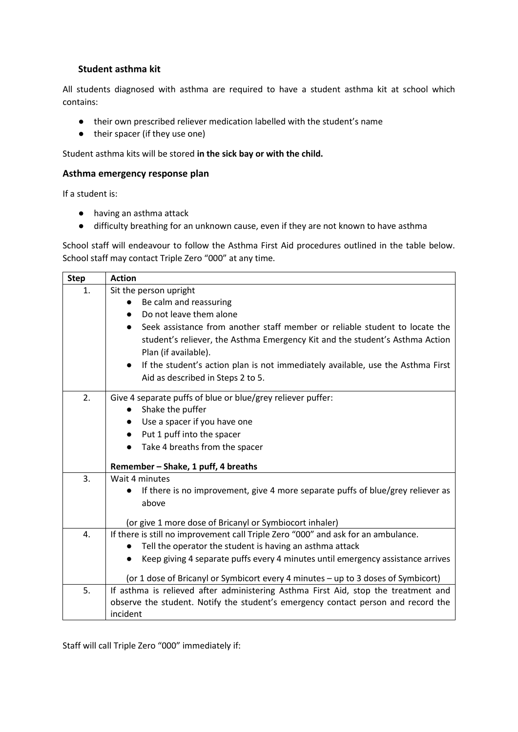## **Student asthma kit**

All students diagnosed with asthma are required to have a student asthma kit at school which contains:

- their own prescribed reliever medication labelled with the student's name
- their spacer (if they use one)

Student asthma kits will be stored **in the sick bay or with the child.**

#### **Asthma emergency response plan**

If a student is:

- having an asthma attack
- difficulty breathing for an unknown cause, even if they are not known to have asthma

School staff will endeavour to follow the Asthma First Aid procedures outlined in the table below. School staff may contact Triple Zero "000" at any time.

| <b>Step</b> | <b>Action</b>                                                                                |  |  |  |  |  |
|-------------|----------------------------------------------------------------------------------------------|--|--|--|--|--|
| 1.          | Sit the person upright                                                                       |  |  |  |  |  |
|             | Be calm and reassuring                                                                       |  |  |  |  |  |
|             | Do not leave them alone                                                                      |  |  |  |  |  |
|             | Seek assistance from another staff member or reliable student to locate the<br>$\bullet$     |  |  |  |  |  |
|             | student's reliever, the Asthma Emergency Kit and the student's Asthma Action                 |  |  |  |  |  |
|             | Plan (if available).                                                                         |  |  |  |  |  |
|             | If the student's action plan is not immediately available, use the Asthma First<br>$\bullet$ |  |  |  |  |  |
|             | Aid as described in Steps 2 to 5.                                                            |  |  |  |  |  |
| 2.          |                                                                                              |  |  |  |  |  |
|             | Give 4 separate puffs of blue or blue/grey reliever puffer:                                  |  |  |  |  |  |
|             | Shake the puffer                                                                             |  |  |  |  |  |
|             | Use a spacer if you have one                                                                 |  |  |  |  |  |
|             | Put 1 puff into the spacer                                                                   |  |  |  |  |  |
|             | Take 4 breaths from the spacer                                                               |  |  |  |  |  |
|             | Remember - Shake, 1 puff, 4 breaths                                                          |  |  |  |  |  |
| 3.          | Wait 4 minutes                                                                               |  |  |  |  |  |
|             | If there is no improvement, give 4 more separate puffs of blue/grey reliever as              |  |  |  |  |  |
|             | above                                                                                        |  |  |  |  |  |
|             | (or give 1 more dose of Bricanyl or Symbiocort inhaler)                                      |  |  |  |  |  |
| 4.          | If there is still no improvement call Triple Zero "000" and ask for an ambulance.            |  |  |  |  |  |
|             | Tell the operator the student is having an asthma attack                                     |  |  |  |  |  |
|             | Keep giving 4 separate puffs every 4 minutes until emergency assistance arrives              |  |  |  |  |  |
|             |                                                                                              |  |  |  |  |  |
|             | (or 1 dose of Bricanyl or Symbicort every 4 minutes - up to 3 doses of Symbicort)            |  |  |  |  |  |
| 5.          | If asthma is relieved after administering Asthma First Aid, stop the treatment and           |  |  |  |  |  |
|             | observe the student. Notify the student's emergency contact person and record the            |  |  |  |  |  |
|             | incident                                                                                     |  |  |  |  |  |

Staff will call Triple Zero "000" immediately if: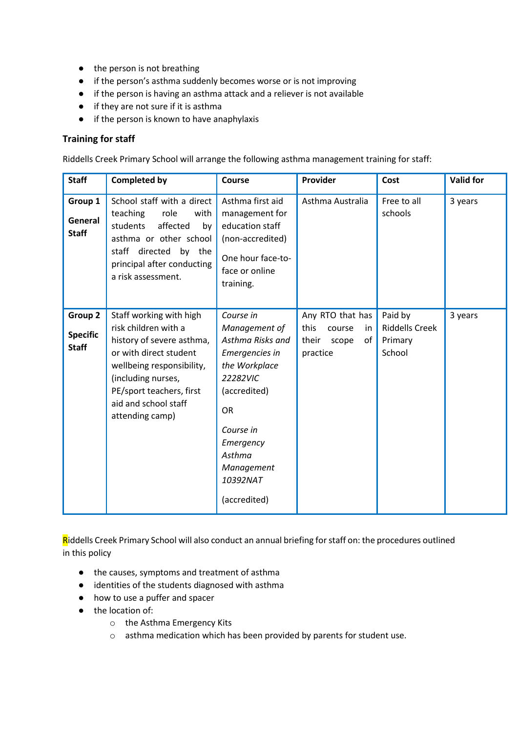- the person is not breathing
- if the person's asthma suddenly becomes worse or is not improving
- if the person is having an asthma attack and a reliever is not available
- if they are not sure if it is asthma
- if the person is known to have anaphylaxis

#### **Training for staff**

Riddells Creek Primary School will arrange the following asthma management training for staff:

| <b>Staff</b>                               | <b>Completed by</b>                                                                                                                                                                                                              | Course                                                                                                                                                                                                   | Provider                                                                      | Cost                                                  | <b>Valid for</b> |
|--------------------------------------------|----------------------------------------------------------------------------------------------------------------------------------------------------------------------------------------------------------------------------------|----------------------------------------------------------------------------------------------------------------------------------------------------------------------------------------------------------|-------------------------------------------------------------------------------|-------------------------------------------------------|------------------|
| Group 1<br>General<br><b>Staff</b>         | School staff with a direct<br>teaching<br>role<br>with<br>affected<br>students<br>by<br>asthma or other school<br>staff directed<br>by the<br>principal after conducting<br>a risk assessment.                                   | Asthma first aid<br>management for<br>education staff<br>(non-accredited)<br>One hour face-to-<br>face or online<br>training.                                                                            | Asthma Australia                                                              | Free to all<br>schools                                | 3 years          |
| Group 2<br><b>Specific</b><br><b>Staff</b> | Staff working with high<br>risk children with a<br>history of severe asthma,<br>or with direct student<br>wellbeing responsibility,<br>(including nurses,<br>PE/sport teachers, first<br>aid and school staff<br>attending camp) | Course in<br>Management of<br>Asthma Risks and<br>Emergencies in<br>the Workplace<br>22282VIC<br>(accredited)<br><b>OR</b><br>Course in<br>Emergency<br>Asthma<br>Management<br>10392NAT<br>(accredited) | Any RTO that has<br>this<br>course<br>in.<br>their<br>scope<br>of<br>practice | Paid by<br><b>Riddells Creek</b><br>Primary<br>School | 3 years          |

Riddells Creek Primary School will also conduct an annual briefing for staff on: the procedures outlined in this policy

- the causes, symptoms and treatment of asthma
- identities of the students diagnosed with asthma
- how to use a puffer and spacer
- the location of:
	- o the Asthma Emergency Kits
	- o asthma medication which has been provided by parents for student use.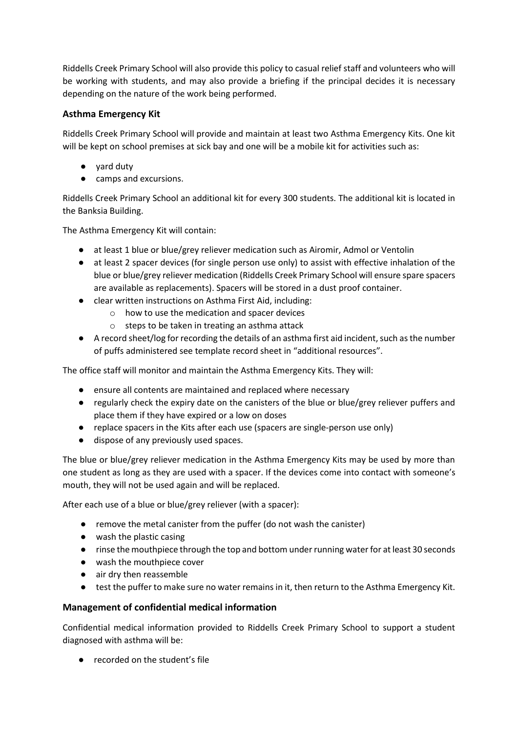Riddells Creek Primary School will also provide this policy to casual relief staff and volunteers who will be working with students, and may also provide a briefing if the principal decides it is necessary depending on the nature of the work being performed.

# **Asthma Emergency Kit**

Riddells Creek Primary School will provide and maintain at least two Asthma Emergency Kits. One kit will be kept on school premises at sick bay and one will be a mobile kit for activities such as:

- yard duty
- camps and excursions.

Riddells Creek Primary School an additional kit for every 300 students. The additional kit is located in the Banksia Building.

The Asthma Emergency Kit will contain:

- at least 1 blue or blue/grey reliever medication such as Airomir, Admol or Ventolin
- at least 2 spacer devices (for single person use only) to assist with effective inhalation of the blue or blue/grey reliever medication (Riddells Creek Primary School will ensure spare spacers are available as replacements). Spacers will be stored in a dust proof container.
- clear written instructions on Asthma First Aid, including:
	- o how to use the medication and spacer devices
	- o steps to be taken in treating an asthma attack
- A record sheet/log for recording the details of an asthma first aid incident, such as the number of puffs administered see template record sheet in "additional resources".

The office staff will monitor and maintain the Asthma Emergency Kits. They will:

- ensure all contents are maintained and replaced where necessary
- regularly check the expiry date on the canisters of the blue or blue/grey reliever puffers and place them if they have expired or a low on doses
- replace spacers in the Kits after each use (spacers are single-person use only)
- dispose of any previously used spaces.

The blue or blue/grey reliever medication in the Asthma Emergency Kits may be used by more than one student as long as they are used with a spacer. If the devices come into contact with someone's mouth, they will not be used again and will be replaced.

After each use of a blue or blue/grey reliever (with a spacer):

- remove the metal canister from the puffer (do not wash the canister)
- wash the plastic casing
- rinse the mouthpiece through the top and bottom under running water for at least 30 seconds
- wash the mouthpiece cover
- air dry then reassemble
- test the puffer to make sure no water remains in it, then return to the Asthma Emergency Kit.

# **Management of confidential medical information**

Confidential medical information provided to Riddells Creek Primary School to support a student diagnosed with asthma will be:

● recorded on the student's file